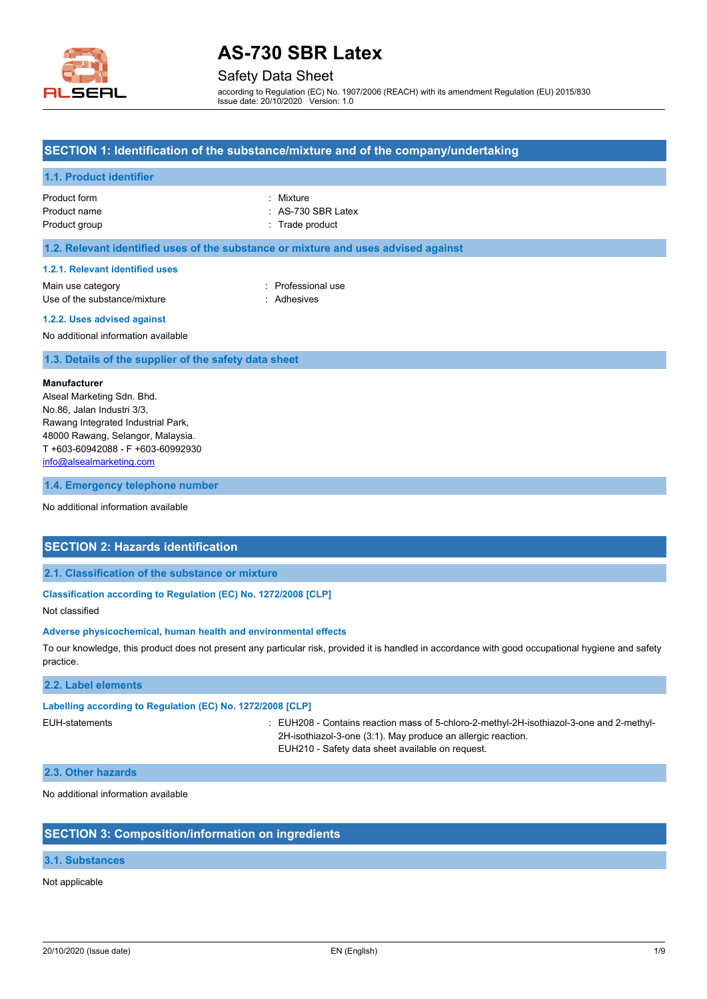

# Safety Data Sheet

according to Regulation (EC) No. 1907/2006 (REACH) with its amendment Regulation (EU) 2015/830 Issue date: 20/10/2020 Version: 1.0

## **SECTION 1: Identification of the substance/mixture and of the company/undertaking**

### **1.1. Product identifier**

| Product form  | : Mixture          |
|---------------|--------------------|
| Product name  | : AS-730 SBR Latex |
| Product group | : Trade product    |

#### **1.2. Relevant identified uses of the substance or mixture and uses advised against**

#### **1.2.1. Relevant identified uses**

Main use category **in the set of the COV** Main use the Main use the Main use the Main use the Main use Use of the substance/mixture in the substance of the substance of the substance of the substance of the substance of the substance of the substance of the substance of the substance of the substance of the substance of the

#### **1.2.2. Uses advised against**

No additional information available

#### **1.3. Details of the supplier of the safety data sheet**

#### **Manufacturer**

Alseal Marketing Sdn. Bhd. No.86, Jalan Industri 3/3, Rawang Integrated Industrial Park, 48000 Rawang, Selangor, Malaysia. T +603-60942088 - F +603-60992930 [info@alsealmarketing.com](mailto:info@alsealmarketing.com)

#### **1.4. Emergency telephone number**

No additional information available

### **SECTION 2: Hazards identification**

### **2.1. Classification of the substance or mixture**

#### **Classification according to Regulation (EC) No. 1272/2008 [CLP]**

Not classified

#### **Adverse physicochemical, human health and environmental effects**

To our knowledge, this product does not present any particular risk, provided it is handled in accordance with good occupational hygiene and safety practice.

### **2.2. Label elements**

#### **Labelling according to Regulation (EC) No. 1272/2008 [CLP]**

EUH-statements : EUH208 - Contains reaction mass of 5-chloro-2-methyl-2H-isothiazol-3-one and 2-methyl-2H-isothiazol-3-one (3:1). May produce an allergic reaction. EUH210 - Safety data sheet available on request.

#### **2.3. Other hazards**

No additional information available

#### **SECTION 3: Composition/information on ingredients**

### **3.1. Substances**

Not applicable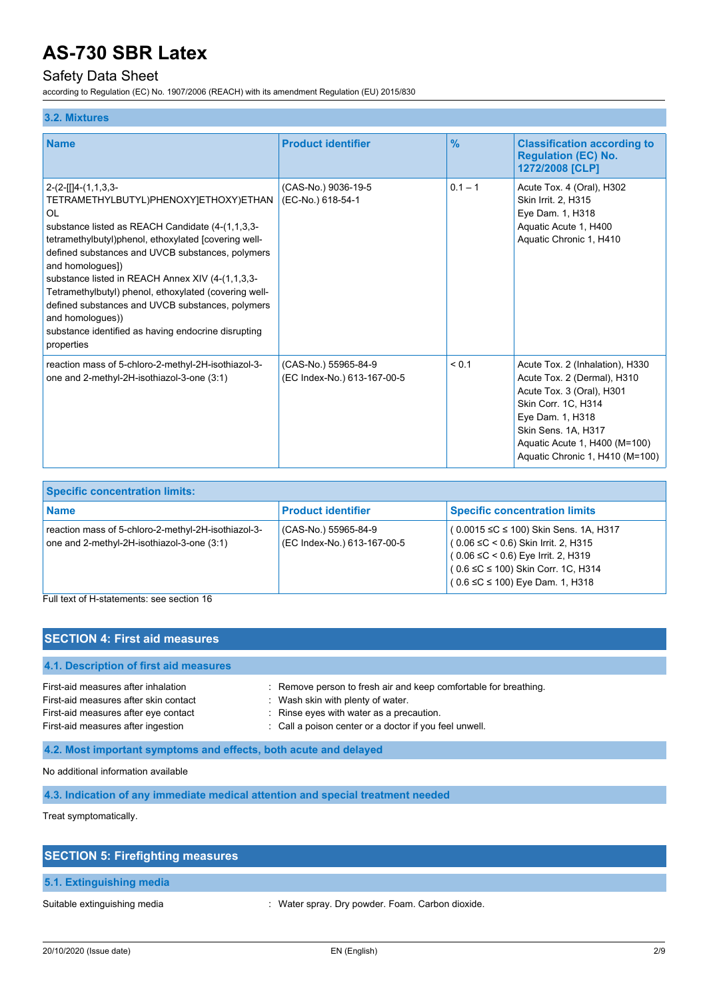# Safety Data Sheet

according to Regulation (EC) No. 1907/2006 (REACH) with its amendment Regulation (EU) 2015/830

#### **3.2. Mixtures**

| <b>Name</b>                                                                                                                                                                                                                                                                                                                                                                                                                                                                                                        | <b>Product identifier</b>                           | $\frac{9}{6}$ | <b>Classification according to</b><br><b>Regulation (EC) No.</b><br>1272/2008 [CLP]                                                                                                                                               |
|--------------------------------------------------------------------------------------------------------------------------------------------------------------------------------------------------------------------------------------------------------------------------------------------------------------------------------------------------------------------------------------------------------------------------------------------------------------------------------------------------------------------|-----------------------------------------------------|---------------|-----------------------------------------------------------------------------------------------------------------------------------------------------------------------------------------------------------------------------------|
| $2-(2-[1]4-(1,1,3,3-$<br>TETRAMETHYLBUTYL)PHENOXY]ETHOXY)ETHAN<br>OL<br>substance listed as REACH Candidate (4-(1,1,3,3-<br>tetramethylbutyl)phenol, ethoxylated [covering well-<br>defined substances and UVCB substances, polymers<br>and homologues])<br>substance listed in REACH Annex XIV (4-(1,1,3,3-<br>Tetramethylbutyl) phenol, ethoxylated (covering well-<br>defined substances and UVCB substances, polymers<br>and homologues))<br>substance identified as having endocrine disrupting<br>properties | (CAS-No.) 9036-19-5<br>(EC-No.) 618-54-1            | $0.1 - 1$     | Acute Tox. 4 (Oral), H302<br>Skin Irrit. 2, H315<br>Eye Dam. 1, H318<br>Aquatic Acute 1, H400<br>Aquatic Chronic 1, H410                                                                                                          |
| reaction mass of 5-chloro-2-methyl-2H-isothiazol-3-<br>one and 2-methyl-2H-isothiazol-3-one (3:1)                                                                                                                                                                                                                                                                                                                                                                                                                  | (CAS-No.) 55965-84-9<br>(EC Index-No.) 613-167-00-5 | < 0.1         | Acute Tox. 2 (Inhalation), H330<br>Acute Tox. 2 (Dermal), H310<br>Acute Tox. 3 (Oral), H301<br>Skin Corr. 1C, H314<br>Eye Dam. 1, H318<br>Skin Sens. 1A, H317<br>Aquatic Acute 1, H400 (M=100)<br>Aquatic Chronic 1, H410 (M=100) |

| <b>Specific concentration limits:</b>                                                             |                                                     |                                                                                                                                                                                                                         |
|---------------------------------------------------------------------------------------------------|-----------------------------------------------------|-------------------------------------------------------------------------------------------------------------------------------------------------------------------------------------------------------------------------|
| <b>Name</b>                                                                                       | <b>Product identifier</b>                           | <b>Specific concentration limits</b>                                                                                                                                                                                    |
| reaction mass of 5-chloro-2-methyl-2H-isothiazol-3-<br>one and 2-methyl-2H-isothiazol-3-one (3:1) | (CAS-No.) 55965-84-9<br>(EC Index-No.) 613-167-00-5 | (0.0015 ≤C ≤ 100) Skin Sens. 1A, H317<br>$(0.06 \leq C < 0.6)$ Skin Irrit. 2, H315<br>$(0.06 \leq C < 0.6)$ Eye Irrit. 2, H319<br>$(0.6 \le C \le 100)$ Skin Corr. 1C, H314<br>$(0.6 \leq C \leq 100)$ Eye Dam. 1, H318 |

Full text of H-statements: see section 16

### **SECTION 4: First aid measures**

# **4.1. Description of first aid measures**

First-aid measures after inhalation : Remove person to fresh air and keep comfortable for breathing. First-aid measures after skin contact : Wash skin with plenty of water. First-aid measures after eye contact : Rinse eyes with water as a precaution. First-aid measures after ingestion : Call a poison center or a doctor if you feel unwell.

### **4.2. Most important symptoms and effects, both acute and delayed**

No additional information available

**4.3. Indication of any immediate medical attention and special treatment needed**

Treat symptomatically.

| <b>SECTION 5: Firefighting measures</b> |                                                  |
|-----------------------------------------|--------------------------------------------------|
| 5.1. Extinguishing media                |                                                  |
| Suitable extinguishing media            | : Water spray. Dry powder. Foam. Carbon dioxide. |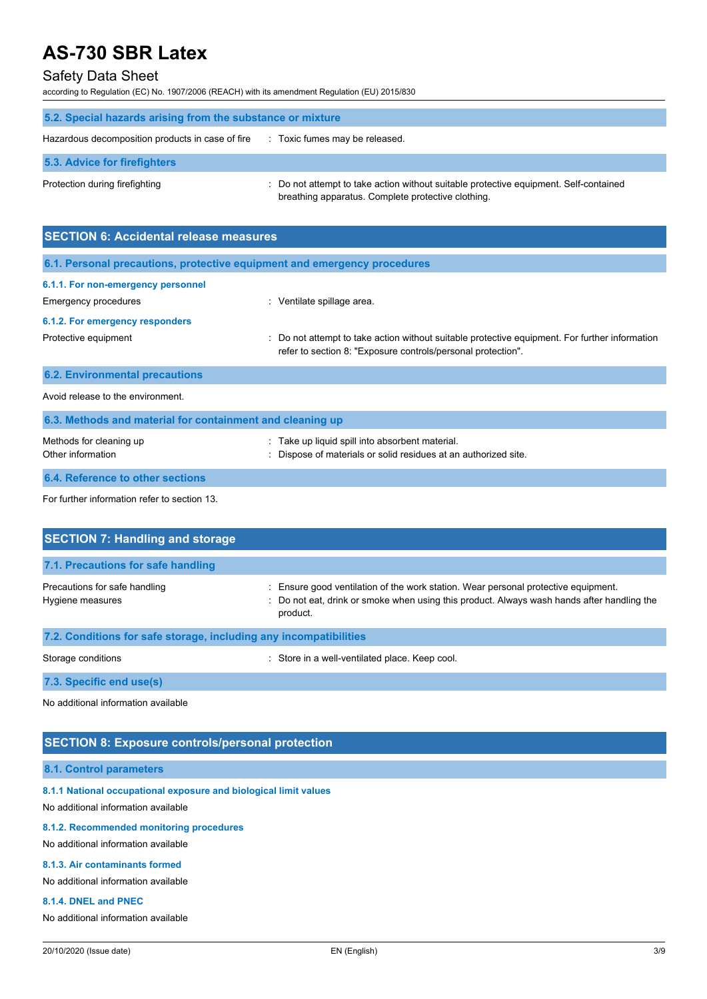# Safety Data Sheet

according to Regulation (EC) No. 1907/2006 (REACH) with its amendment Regulation (EU) 2015/830

| 5.2. Special hazards arising from the substance or mixture |                                                                                                                                             |  |
|------------------------------------------------------------|---------------------------------------------------------------------------------------------------------------------------------------------|--|
| Hazardous decomposition products in case of fire           | : Toxic fumes may be released.                                                                                                              |  |
| 5.3. Advice for firefighters                               |                                                                                                                                             |  |
| Protection during firefighting                             | : Do not attempt to take action without suitable protective equipment. Self-contained<br>breathing apparatus. Complete protective clothing. |  |

| <b>SECTION 6: Accidental release measures</b>                            |                                                                                                                                                                |  |  |
|--------------------------------------------------------------------------|----------------------------------------------------------------------------------------------------------------------------------------------------------------|--|--|
| 6.1. Personal precautions, protective equipment and emergency procedures |                                                                                                                                                                |  |  |
| 6.1.1. For non-emergency personnel<br>Emergency procedures               | : Ventilate spillage area.                                                                                                                                     |  |  |
| 6.1.2. For emergency responders<br>Protective equipment                  | : Do not attempt to take action without suitable protective equipment. For further information<br>refer to section 8: "Exposure controls/personal protection". |  |  |
| <b>6.2. Environmental precautions</b>                                    |                                                                                                                                                                |  |  |
| Avoid release to the environment.                                        |                                                                                                                                                                |  |  |
| 6.3. Methods and material for containment and cleaning up                |                                                                                                                                                                |  |  |
| Methods for cleaning up<br>Other information                             | Take up liquid spill into absorbent material.<br>Dispose of materials or solid residues at an authorized site.                                                 |  |  |

# **6.4. Reference to other sections**

For further information refer to section 13.

| <b>SECTION 7: Handling and storage</b>                            |                                                                                                                                                                                              |  |
|-------------------------------------------------------------------|----------------------------------------------------------------------------------------------------------------------------------------------------------------------------------------------|--|
| 7.1. Precautions for safe handling                                |                                                                                                                                                                                              |  |
| Precautions for safe handling<br>Hygiene measures                 | : Ensure good ventilation of the work station. Wear personal protective equipment.<br>: Do not eat, drink or smoke when using this product. Always wash hands after handling the<br>product. |  |
| 7.2. Conditions for safe storage, including any incompatibilities |                                                                                                                                                                                              |  |
| Storage conditions                                                | : Store in a well-ventilated place. Keep cool.                                                                                                                                               |  |

**7.3. Specific end use(s)**

No additional information available

## **SECTION 8: Exposure controls/personal protection**

## **8.1. Control parameters**

**8.1.1 National occupational exposure and biological limit values**

No additional information available

# **8.1.2. Recommended monitoring procedures**

No additional information available

#### **8.1.3. Air contaminants formed**

No additional information available

### **8.1.4. DNEL and PNEC**

No additional information available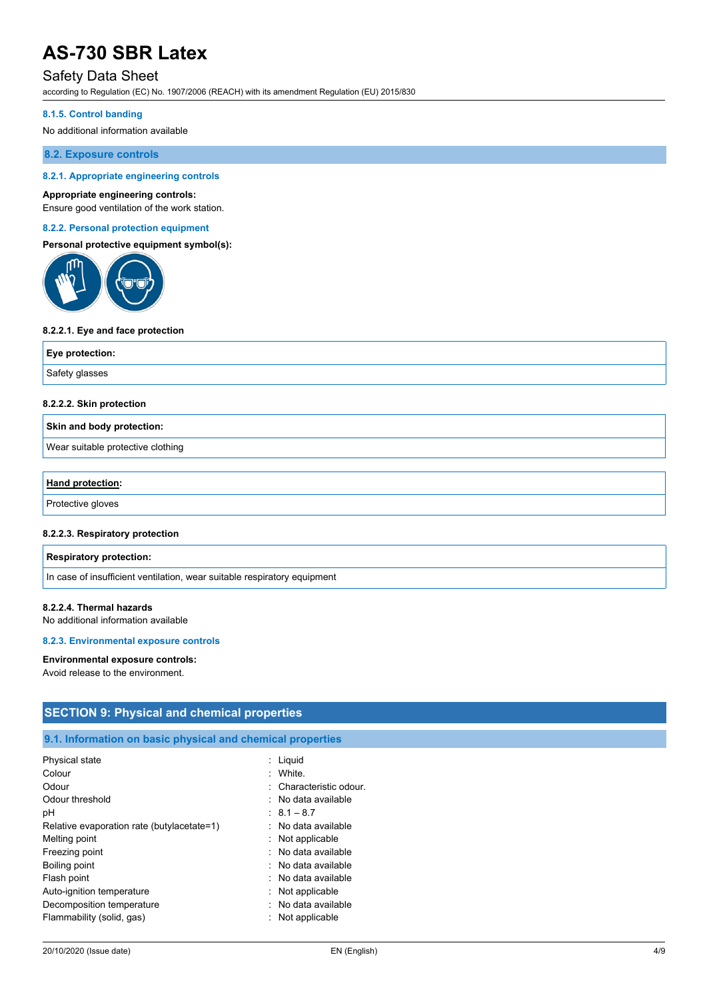# Safety Data Sheet

according to Regulation (EC) No. 1907/2006 (REACH) with its amendment Regulation (EU) 2015/830

#### **8.1.5. Control banding**

No additional information available

**8.2. Exposure controls**

#### **8.2.1. Appropriate engineering controls**

#### **Appropriate engineering controls:**

Ensure good ventilation of the work station.

#### **8.2.2. Personal protection equipment**

### **Personal protective equipment symbol(s):**



#### **8.2.2.1. Eye and face protection**

| Eye protection: |  |
|-----------------|--|
| Safety glasses  |  |

#### **8.2.2.2. Skin protection**

#### **Skin and body protection:**

Wear suitable protective clothing

| Hand protection:  |  |
|-------------------|--|
| Protective gloves |  |

#### **8.2.2.3. Respiratory protection**

#### **Respiratory protection:**

In case of insufficient ventilation, wear suitable respiratory equipment

#### **8.2.2.4. Thermal hazards**

No additional information available

#### **8.2.3. Environmental exposure controls**

#### **Environmental exposure controls:**

Avoid release to the environment.

# **SECTION 9: Physical and chemical properties**

## **9.1. Information on basic physical and chemical properties**

| Physical state                             | : Liquid                |
|--------------------------------------------|-------------------------|
| Colour                                     | · White                 |
| Odour                                      | : Characteristic odour. |
| Odour threshold                            | : No data available     |
| рH                                         | $\pm 8.1 - 8.7$         |
| Relative evaporation rate (butylacetate=1) | : No data available     |
| Melting point                              | $:$ Not applicable      |
| Freezing point                             | : No data available     |
| Boiling point                              | : No data available     |
| Flash point                                | : No data available     |
| Auto-ignition temperature                  | $:$ Not applicable      |
| Decomposition temperature                  | : No data available     |
| Flammability (solid, gas)                  | : Not applicable        |
|                                            |                         |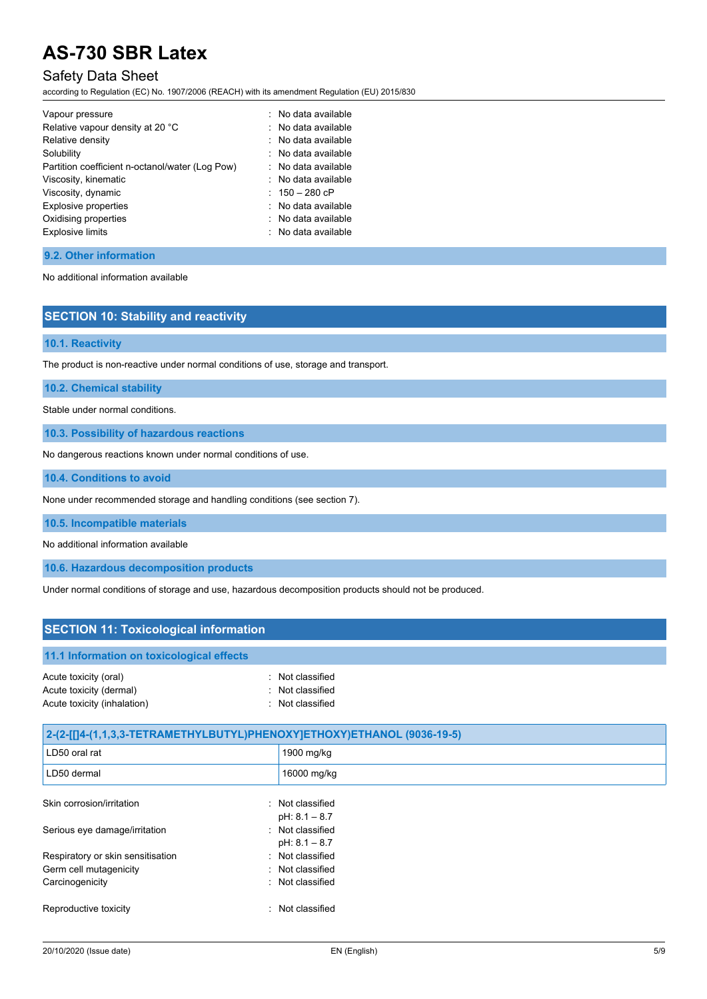# Safety Data Sheet

according to Regulation (EC) No. 1907/2006 (REACH) with its amendment Regulation (EU) 2015/830

| Vapour pressure                                 | : No data available   |
|-------------------------------------------------|-----------------------|
| Relative vapour density at 20 °C                | : No data available   |
| Relative density                                | $:$ No data available |
| Solubility                                      | $:$ No data available |
| Partition coefficient n-octanol/water (Log Pow) | : No data available   |
| Viscosity, kinematic                            | : No data available   |
| Viscosity, dynamic                              | : $150 - 280$ cP      |
| Explosive properties                            | : No data available   |
| Oxidising properties                            | : No data available   |
| <b>Explosive limits</b>                         | : No data available   |

#### **9.2. Other information**

No additional information available

### **SECTION 10: Stability and reactivity**

**10.1. Reactivity**

The product is non-reactive under normal conditions of use, storage and transport.

**10.2. Chemical stability**

Stable under normal conditions.

**10.3. Possibility of hazardous reactions**

No dangerous reactions known under normal conditions of use.

**10.4. Conditions to avoid**

None under recommended storage and handling conditions (see section 7).

**10.5. Incompatible materials**

No additional information available

**10.6. Hazardous decomposition products**

Under normal conditions of storage and use, hazardous decomposition products should not be produced.

# **SECTION 11: Toxicological information 11.1 Information on toxicological effects** Acute toxicity (oral) **interval** to the control of the control of the control of the control of the control of the control of the control of the control of the control of the control of the control of the control of the co Acute toxicity (dermal) **Example 20** Acute toxicity (dermal) Acute toxicity (inhalation) **interest and the Contract Contract Contract Contract Contract Contract Contract Contract Contract Contract Contract Contract Contract Contract Contract Contract Contract Contract Contract Contr**

| 2-(2-[[]4-(1,1,3,3-TETRAMETHYLBUTYL)PHENOXY]ETHOXY)ETHANOL (9036-19-5) |                                     |  |
|------------------------------------------------------------------------|-------------------------------------|--|
| LD50 oral rat                                                          | 1900 mg/kg                          |  |
| LD50 dermal                                                            | 16000 mg/kg                         |  |
| Skin corrosion/irritation                                              | : Not classified<br>$pH: 8.1 - 8.7$ |  |
| Serious eye damage/irritation                                          | : Not classified<br>$pH: 8.1 - 8.7$ |  |
| Respiratory or skin sensitisation                                      | : Not classified                    |  |
| Germ cell mutagenicity                                                 | : Not classified                    |  |
| Carcinogenicity                                                        | : Not classified                    |  |
| Reproductive toxicity<br>٠.                                            | Not classified                      |  |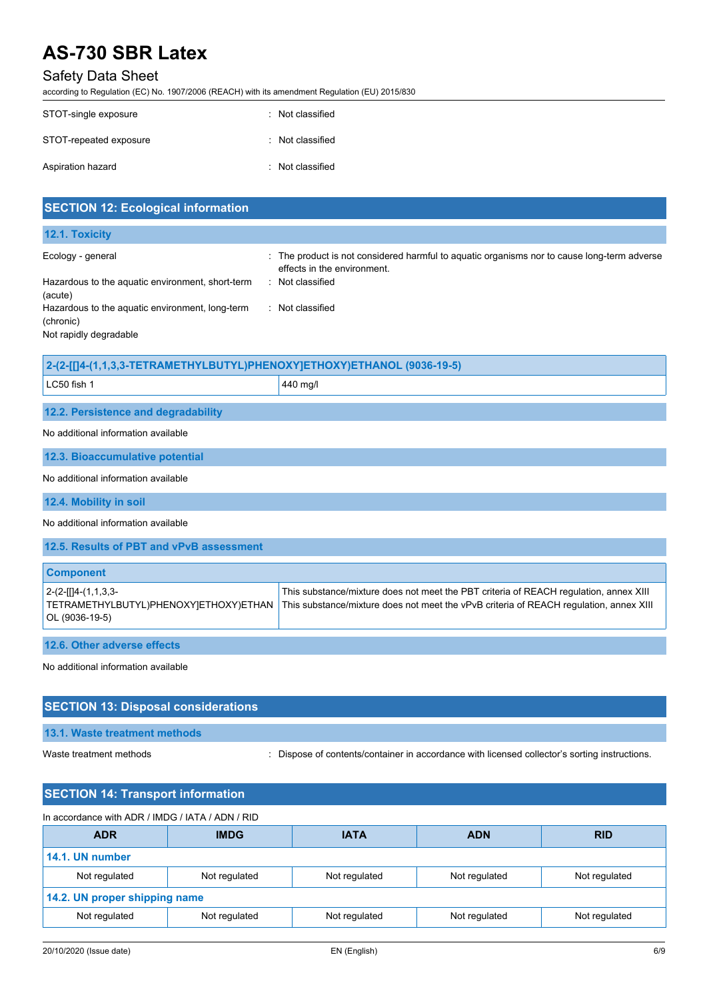# Safety Data Sheet

according to Regulation (EC) No. 1907/2006 (REACH) with its amendment Regulation (EU) 2015/830

| STOT-single exposure   | : Not classified |
|------------------------|------------------|
| STOT-repeated exposure | : Not classified |
| Aspiration hazard      | : Not classified |

| <b>SECTION 12: Ecological information</b>                                                                                                                                  |                                                                                                                                                                                 |  |
|----------------------------------------------------------------------------------------------------------------------------------------------------------------------------|---------------------------------------------------------------------------------------------------------------------------------------------------------------------------------|--|
| 12.1. Toxicity                                                                                                                                                             |                                                                                                                                                                                 |  |
| Ecology - general<br>Hazardous to the aquatic environment, short-term<br>(acute)<br>Hazardous to the aquatic environment, long-term<br>(chronic)<br>Not rapidly degradable | : The product is not considered harmful to aquatic organisms nor to cause long-term adverse<br>effects in the environment.<br>: Not classified<br>: Not classified              |  |
| 2-(2-[[]4-(1,1,3,3-TETRAMETHYLBUTYL)PHENOXY]ETHOXY)ETHANOL (9036-19-5)                                                                                                     |                                                                                                                                                                                 |  |
| LC50 fish 1                                                                                                                                                                | 440 mg/l                                                                                                                                                                        |  |
| 12.2. Persistence and degradability                                                                                                                                        |                                                                                                                                                                                 |  |
| No additional information available                                                                                                                                        |                                                                                                                                                                                 |  |
| 12.3. Bioaccumulative potential                                                                                                                                            |                                                                                                                                                                                 |  |
| No additional information available                                                                                                                                        |                                                                                                                                                                                 |  |
| 12.4. Mobility in soil                                                                                                                                                     |                                                                                                                                                                                 |  |
| No additional information available                                                                                                                                        |                                                                                                                                                                                 |  |
| 12.5. Results of PBT and vPvB assessment                                                                                                                                   |                                                                                                                                                                                 |  |
| <b>Component</b>                                                                                                                                                           |                                                                                                                                                                                 |  |
| $2-(2-[1]4-(1,1,3,3-$<br>TETRAMETHYLBUTYL)PHENOXY]ETHOXY)ETHAN<br>OL (9036-19-5)                                                                                           | This substance/mixture does not meet the PBT criteria of REACH regulation, annex XIII<br>This substance/mixture does not meet the vPvB criteria of REACH regulation, annex XIII |  |
| 12.6. Other adverse effects                                                                                                                                                |                                                                                                                                                                                 |  |
| No additional information available                                                                                                                                        |                                                                                                                                                                                 |  |
| <b>SECTION 13: Disposal considerations</b>                                                                                                                                 |                                                                                                                                                                                 |  |
| 13.1. Waste treatment methods                                                                                                                                              |                                                                                                                                                                                 |  |

Waste treatment methods : Dispose of contents/container in accordance with licensed collector's sorting instructions.

| <b>SECTION 14: Transport information</b>         |               |               |               |               |
|--------------------------------------------------|---------------|---------------|---------------|---------------|
| In accordance with ADR / IMDG / IATA / ADN / RID |               |               |               |               |
| <b>ADR</b>                                       | <b>IMDG</b>   | <b>IATA</b>   | <b>ADN</b>    | <b>RID</b>    |
| 14.1. UN number                                  |               |               |               |               |
| Not regulated                                    | Not regulated | Not regulated | Not regulated | Not regulated |
| 14.2. UN proper shipping name                    |               |               |               |               |
| Not regulated                                    | Not regulated | Not regulated | Not regulated | Not regulated |
|                                                  |               |               |               |               |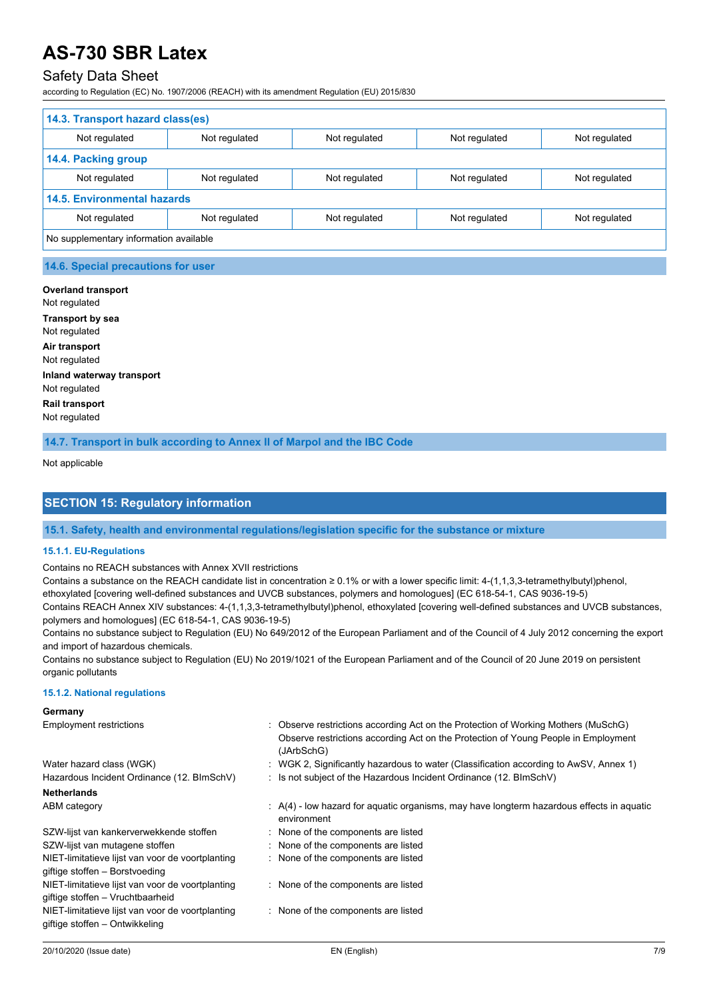# Safety Data Sheet

according to Regulation (EC) No. 1907/2006 (REACH) with its amendment Regulation (EU) 2015/830

| 14.3. Transport hazard class(es)       |               |               |               |               |
|----------------------------------------|---------------|---------------|---------------|---------------|
| Not regulated                          | Not regulated | Not regulated | Not regulated | Not regulated |
| 14.4. Packing group                    |               |               |               |               |
| Not regulated                          | Not regulated | Not regulated | Not regulated | Not regulated |
| <b>14.5. Environmental hazards</b>     |               |               |               |               |
| Not regulated                          | Not regulated | Not regulated | Not regulated | Not regulated |
| No supplementary information available |               |               |               |               |

#### **14.6. Special precautions for user**

**Overland transport** Not regulated **Transport by sea** Not regulated **Air transport** Not regulated **Inland waterway transport** Not regulated **Rail transport** Not regulated **14.7. Transport in bulk according to Annex II of Marpol and the IBC Code**

## Not applicable

## **SECTION 15: Regulatory information**

#### **15.1. Safety, health and environmental regulations/legislation specific for the substance or mixture**

#### **15.1.1. EU-Regulations**

Contains no REACH substances with Annex XVII restrictions

Contains a substance on the REACH candidate list in concentration  $\geq 0.1\%$  or with a lower specific limit: 4-(1,1,3,3-tetramethylbutyl)phenol, ethoxylated [covering well-defined substances and UVCB substances, polymers and homologues] (EC 618-54-1, CAS 9036-19-5) Contains REACH Annex XIV substances: 4-(1,1,3,3-tetramethylbutyl)phenol, ethoxylated [covering well-defined substances and UVCB substances, polymers and homologues] (EC 618-54-1, CAS 9036-19-5)

Contains no substance subject to Regulation (EU) No 649/2012 of the European Parliament and of the Council of 4 July 2012 concerning the export and import of hazardous chemicals.

Contains no substance subject to Regulation (EU) No 2019/1021 of the European Parliament and of the Council of 20 June 2019 on persistent organic pollutants

#### **15.1.2. National regulations**

#### **Germany** Employment restrictions **included in the Contract Constructions according Act on the Protection of Working Mothers (MuSchG)** Observe restrictions according Act on the Protection of Young People in Employment (JArbSchG) Water hazard class (WGK) : WGK 2, Significantly hazardous to water (Classification according to AwSV, Annex 1) Hazardous Incident Ordinance (12. BImSchV) : Is not subject of the Hazardous Incident Ordinance (12. BImSchV) **Netherlands** ABM category **EXECUTE:** A(4) - low hazard for aquatic organisms, may have longterm hazardous effects in aquatic environment SZW-lijst van kankerverwekkende stoffen : None of the components are listed SZW-lijst van mutagene stoffen : None of the components are listed NIET-limitatieve lijst van voor de voortplanting giftige stoffen – Borstvoeding : None of the components are listed NIET-limitatieve lijst van voor de voortplanting giftige stoffen – Vruchtbaarheid : None of the components are listed NIET-limitatieve lijst van voor de voortplanting giftige stoffen – Ontwikkeling : None of the components are listed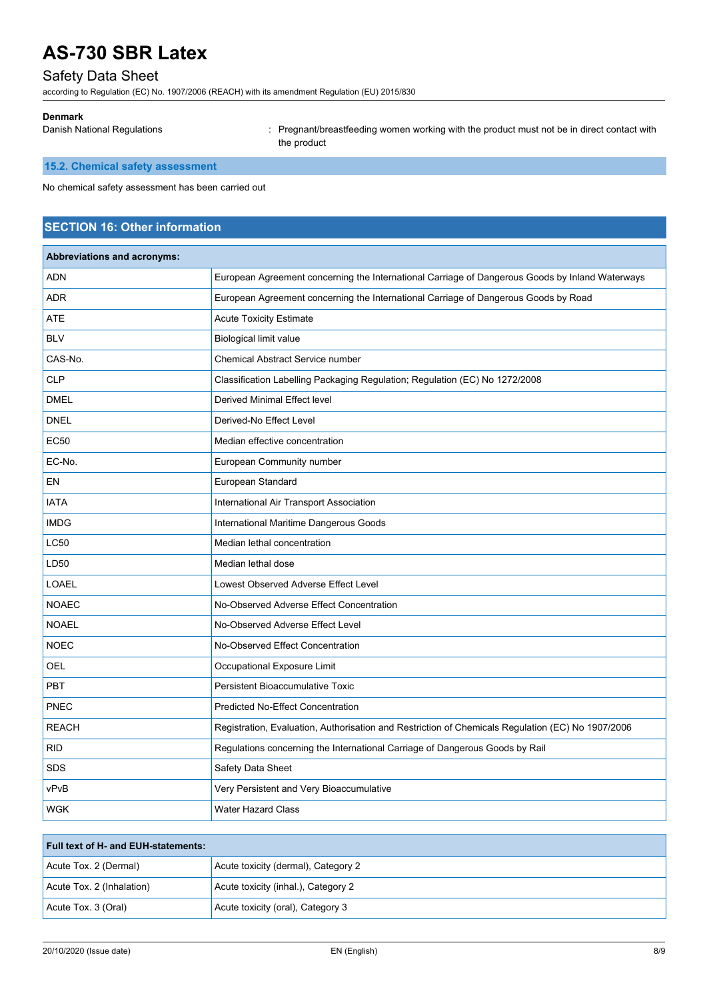# Safety Data Sheet

according to Regulation (EC) No. 1907/2006 (REACH) with its amendment Regulation (EU) 2015/830

#### **Denmark**

Danish National Regulations : Pregnant/breastfeeding women working with the product must not be in direct contact with the product

# **15.2. Chemical safety assessment**

No chemical safety assessment has been carried out

# **SECTION 16: Other information**

| <b>Abbreviations and acronyms:</b> |                                                                                                   |
|------------------------------------|---------------------------------------------------------------------------------------------------|
| <b>ADN</b>                         | European Agreement concerning the International Carriage of Dangerous Goods by Inland Waterways   |
| ADR                                | European Agreement concerning the International Carriage of Dangerous Goods by Road               |
| ATE                                | <b>Acute Toxicity Estimate</b>                                                                    |
| <b>BLV</b>                         | <b>Biological limit value</b>                                                                     |
| CAS-No.                            | <b>Chemical Abstract Service number</b>                                                           |
| <b>CLP</b>                         | Classification Labelling Packaging Regulation; Regulation (EC) No 1272/2008                       |
| <b>DMEL</b>                        | Derived Minimal Effect level                                                                      |
| <b>DNEL</b>                        | Derived-No Effect Level                                                                           |
| <b>EC50</b>                        | Median effective concentration                                                                    |
| EC-No.                             | <b>European Community number</b>                                                                  |
| EN                                 | European Standard                                                                                 |
| <b>IATA</b>                        | International Air Transport Association                                                           |
| <b>IMDG</b>                        | International Maritime Dangerous Goods                                                            |
| <b>LC50</b>                        | Median lethal concentration                                                                       |
| LD50                               | Median lethal dose                                                                                |
| <b>LOAEL</b>                       | Lowest Observed Adverse Effect Level                                                              |
| <b>NOAEC</b>                       | No-Observed Adverse Effect Concentration                                                          |
| <b>NOAEL</b>                       | No-Observed Adverse Effect Level                                                                  |
| <b>NOEC</b>                        | No-Observed Effect Concentration                                                                  |
| OEL                                | Occupational Exposure Limit                                                                       |
| <b>PBT</b>                         | Persistent Bioaccumulative Toxic                                                                  |
| <b>PNEC</b>                        | <b>Predicted No-Effect Concentration</b>                                                          |
| <b>REACH</b>                       | Registration, Evaluation, Authorisation and Restriction of Chemicals Regulation (EC) No 1907/2006 |
| <b>RID</b>                         | Regulations concerning the International Carriage of Dangerous Goods by Rail                      |
| <b>SDS</b>                         | Safety Data Sheet                                                                                 |
| vPvB                               | Very Persistent and Very Bioaccumulative                                                          |
| <b>WGK</b>                         | <b>Water Hazard Class</b>                                                                         |
|                                    |                                                                                                   |

| <b>Full text of H- and EUH-statements:</b> |                                     |  |
|--------------------------------------------|-------------------------------------|--|
| Acute Tox. 2 (Dermal)                      | Acute toxicity (dermal), Category 2 |  |
| Acute Tox. 2 (Inhalation)                  | Acute toxicity (inhal.), Category 2 |  |
| Acute Tox. 3 (Oral)                        | Acute toxicity (oral), Category 3   |  |